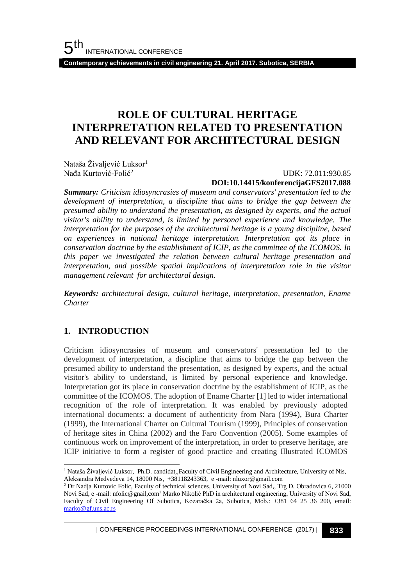**Contemporary achievements in civil engineering 21. April 2017. Subotica, SERBIA**

# **ROLE OF CULTURAL HERITAGE INTERPRETATION RELATED TO PRESENTATION AND RELEVANT FOR ARCHITECTURAL DESIGN**

Nataša Živaljević Luksor<sup>1</sup> Nađa Kurtović-Folić<sup>2</sup>

#### UDK: 72.011:930.85 **DOI:10.14415/konferencijaGFS2017.088**

*Summary: Criticism idiosyncrasies of museum and conservators' presentation led to the development of interpretation, a discipline that aims to bridge the gap between the presumed ability to understand the presentation, as designed by experts, and the actual visitor's ability to understand, is limited by personal experience and knowledge. The interpretation for the purposes of the architectural heritage is a young discipline, based on experiences in national heritage interpretation. Interpretation got its place in conservation doctrine by the establishment of ICIP, as the committee of the ICOMOS. In this paper we investigated the relation between cultural heritage presentation and interpretation, and possible spatial implications of interpretation role in the visitor management relevant for architectural design.*

*Keywords: architectural design, cultural heritage, interpretation, presentation, Ename Charter* 

### **1. INTRODUCTION**

Criticism idiosyncrasies of museum and conservators' presentation led to the development of interpretation, a discipline that aims to bridge the gap between the presumed ability to understand the presentation, as designed by experts, and the actual visitor's ability to understand, is limited by personal experience and knowledge. Interpretation got its place in conservation doctrine by the establishment of ICIP, as the committee of the ICOMOS. The adoption of Ename Charter [1] led to wider international recognition of the role of interpretation. It was enabled by previously adopted international documents: a document of authenticity from Nara (1994), Bura Charter (1999), the International Charter on Cultural Tourism (1999), Principles of conservation of heritage sites in China (2002) and the Faro Convention (2005). Some examples of continuous work on improvement of the interpretation, in order to preserve heritage, are ICIP initiative to form a register of good practice and creating Illustrated ICOMOS

| CONFERENCE PROCEEDINGS INTERNATIONAL CONFERENCE (2017) <sup>|</sup>**833**

l <sup>1</sup> Nataša Živaljević Luksor, Ph.D. candidat, Faculty of Civil Engineering and Architecture, University of Nis, Aleksandra Medvedeva 14, 18000 Nis, +38118243363, e -mail: nluxor@gmail.com

<sup>&</sup>lt;sup>2</sup> Dr Nadja Kurtovic Folic, Faculty of technical sciences, University of Novi Sad,, Trg D. Obradovica 6, 21000 Novi Sad, e -mail: nfolic@gnail,com<sup>1</sup> Marko Nikolić PhD in architectural engineering, University of Novi Sad, Faculty of Civil Engineering Of Subotica, Kozaračka 2a, Subotica, Mob.: +381 64 25 36 200, email: [marko@gf.uns.ac.rs](mailto:marko@gf.uns.ac.rs)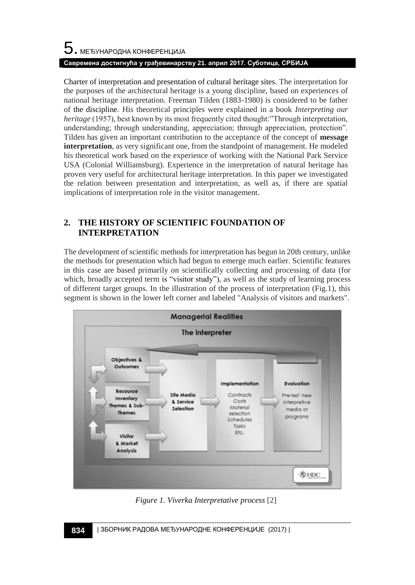Charter of interpretation and presentation of cultural heritage sites. The interpretation for the purposes of the architectural heritage is a young discipline, based on experiences of national heritage interpretation. Freeman Tilden (1883-1980) is considered to be father of the discipline. His theoretical principles were explained in a book *Interpreting our heritage* (1957), best known by its most frequently cited thought:"Through interpretation, understanding; through understanding, appreciation; through appreciation, protection". Tilden has given an important contribution to the acceptance of the concept of **message interpretation**, as very significant one, from the standpoint of management. He modeled his theoretical work based on the experience of working with the National Park Service USA (Colonial Williamsburg). Experience in the interpretation of natural heritage has proven very useful for architectural heritage interpretation. In this paper we investigated the relation between presentation and interpretation, as well as, if there are spatial implications of interpretation role in the visitor management.

## **2. THE HISTORY OF SCIENTIFIC FOUNDATION OF INTERPRETATION**

The development of scientific methods for interpretation has begun in 20th century, unlike the methods for presentation which had begun to emerge much earlier. Scientific features in this case are based primarily on scientifically collecting and processing of data (for which, broadly accepted term is "visitor study"), as well as the study of learning process of different target groups. In the illustration of the process of interpretation (Fig.1), this segment is shown in the lower left corner and labeled "Analysis of visitors and markets".



*Figure 1. Viverka Interpretative process* [2]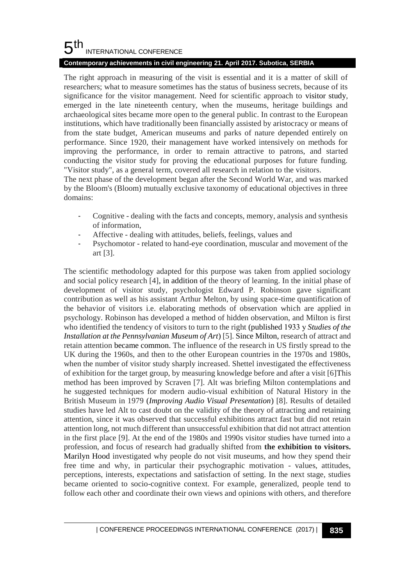#### 5 th INTERNATIONAL CONFERENCE

#### **Contemporary achievements in civil engineering 21. April 2017. Subotica, SERBIA**

The right approach in measuring of the visit is essential and it is a matter of skill of researchers; what to measure sometimes has the status of business secrets, because of its significance for the visitor management. Need for scientific approach to visitor study, emerged in the late nineteenth century, when the museums, heritage buildings and archaeological sites became more open to the general public. In contrast to the European institutions, which have traditionally been financially assisted by aristocracy or means of from the state budget, American museums and parks of nature depended entirely on performance. Since 1920, their management have worked intensively on methods for improving the performance, in order to remain attractive to patrons, and started conducting the visitor study for proving the educational purposes for future funding. "Visitor study", as a general term, covered all research in relation to the visitors.

The next phase of the development began after the Second World War, and was marked by the Bloom's (Bloom) mutually exclusive taxonomy of educational objectives in three domains:

- Cognitive dealing with the facts and concepts, memory, analysis and synthesis of information,
- Affective dealing with attitudes, beliefs, feelings, values and
- Psychomotor related to hand-eye coordination, muscular and movement of the art [3].

The scientific methodology adapted for this purpose was taken from applied sociology and social policy research [4], in addition of the theory of learning. In the initial phase of development of visitor study, psychologist Edward P. Robinson gave significant contribution as well as his assistant Arthur Melton, by using space-time quantification of the behavior of visitors i.e. elaborating methods of observation which are applied in psychology. Robinson has developed a method of hidden observation, and Milton is first who identified the tendency of visitors to turn to the right (published 1933 у *Studies of the Installation at the Pennsylvanian Museum of Art*) [5]. Since Milton, research of attract and retain attention became common. The influence of the research in US firstly spread to the UK during the 1960s, and then to the other European countries in the 1970s and 1980s, when the number of visitor study sharply increased. Shettel investigated the effectiveness of exhibition for the target group, by measuring knowledge before and after a visit [6]This method has been improved by Scraven [7]. Alt was briefing Milton contemplations and he suggested techniques for modern audio-visual exhibition of Natural History in the British Museum in 1979 (*Improving Audio Visual Presentation*) [8]. Results of detailed studies have led Alt to cast doubt on the validity of the theory of attracting and retaining attention, since it was observed that successful exhibitions attract fast but did not retain attention long, not much different than unsuccessful exhibition that did not attract attention in the first place [9]. At the end of the 1980s and 1990s visitor studies have turned into a profession, and focus of research had gradually shifted from **the exhibition to visitors.**  Marilyn Hood investigated why people do not visit museums, and how they spend their free time and why, in particular their psychographic motivation - values, attitudes, perceptions, interests, expectations and satisfaction of setting. In the next stage, studies became oriented to socio-cognitive context. For example, generalized, people tend to follow each other and coordinate their own views and opinions with others, and therefore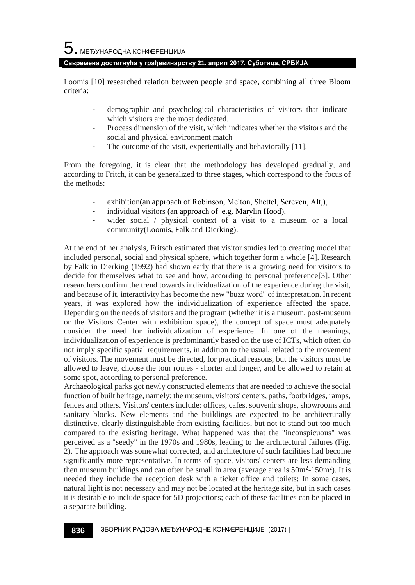#### **Савремена достигнућа у грађевинарству 21. април 2017. Суботица, СРБИЈА**

Loomis [10] researched relation between people and space, combining all three Bloom criteria:

- demographic and psychological characteristics of visitors that indicate which visitors are the most dedicated,
- Process dimension of the visit, which indicates whether the visitors and the social and physical environment match
- The outcome of the visit, experientially and behaviorally [11].

From the foregoing, it is clear that the methodology has developed gradually, and according to Fritch, it can be generalized to three stages, which correspond to the focus of the methods:

- exhibition(an approach of Robinson, Melton, Shettel, Screven, Alt,),
- individual visitors (an approach of e.g. Marylin Hood),
- wider social / physical context of a visit to a museum or a local community(Loomis, Falk and Dierking).

At the end of her analysis, Fritsch estimated that visitor studies led to creating model that included personal, social and physical sphere, which together form a whole [4]. Research by Falk in Dierking (1992) had shown early that there is a growing need for visitors to decide for themselves what to see and how, according to personal preference[3]. Other researchers confirm the trend towards individualization of the experience during the visit, and because of it, interactivity has become the new "buzz word" of interpretation. In recent years, it was explored how the individualization of experience affected the space. Depending on the needs of visitors and the program (whether it is a museum, post-museum or the Visitors Center with exhibition space), the concept of space must adequately consider the need for individualization of experience. In one of the meanings, individualization of experience is predominantly based on the use of ICTs, which often do not imply specific spatial requirements, in addition to the usual, related to the movement of visitors. The movement must be directed, for practical reasons, but the visitors must be allowed to leave, choose the tour routes - shorter and longer, and be allowed to retain at some spot, according to personal preference.

Archaeological parks got newly constructed elements that are needed to achieve the social function of built heritage, namely: the museum, visitors' centers, paths, footbridges, ramps, fences and others. Visitors' centers include: offices, cafes, souvenir shops, showrooms and sanitary blocks. New elements and the buildings are expected to be architecturally distinctive, clearly distinguishable from existing facilities, but not to stand out too much compared to the existing heritage. What happened was that the "inconspicuous" was perceived as a "seedy" in the 1970s and 1980s, leading to the architectural failures (Fig. 2). The approach was somewhat corrected, and architecture of such facilities had become significantly more representative. In terms of space, visitors' centers are less demanding then museum buildings and can often be small in area (average area is  $50m^2 - 150m^2$ ). It is needed they include the reception desk with a ticket office and toilets; In some cases, natural light is not necessary and may not be located at the heritage site, but in such cases it is desirable to include space for 5D projections; each of these facilities can be placed in a separate building.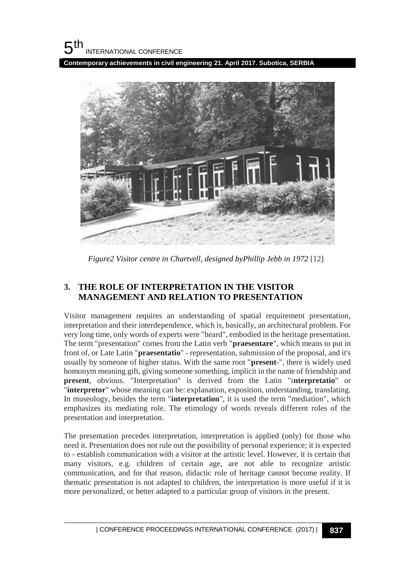**Contemporary achievements in civil engineering 21. April 2017. Subotica, SERBIA**



*Figure2 Visitor centre in Chartvell, designed byPhillip Jebb in 1972* [12]

## **3. THE ROLE OF INTERPRETATION IN THE VISITOR MANAGEMENT AND RELATION TO PRESENTATION**

Visitor management requires an understanding of spatial requirement presentation, interpretation and their interdependence, which is, basically, an architectural problem. For very long time, only words of experts were "heard", embodied in the heritage presentation. The term "presentation" comes from the Latin verb "**praesentare**", which means to put in front of, or Late Latin "**praesentatio**" - representation, submission of the proposal, and it's usually by someone of higher status. With the same root "**present**-", there is widely used homonym meaning gift, giving someone something, implicit in the name of friendship and **present**, obvious. "Interpretation" is derived from the Latin "i**nterpretatio**" or "**interpretor**" whose meaning can be: explanation, exposition, understanding, translating. In museology, besides the term "**interpretation**", it is used the term "mediation", which emphasizes its mediating role. The etimology of words reveals different roles of the presentation and interpretation.

The presentation precedes interpretation, interpretation is applied (only) for those who need it. Presentation does not rule out the possibility of personal experience; it is expected to - establish communication with a visitor at the artistic level. However, it is certain that many visitors, e.g. children of certain age, are not able to recognize artistic communication, and for that reason, didactic role of heritage cannot become reality. If thematic presentation is not adapted to children, the interpretation is more useful if it is more personalized, or better adapted to a particular group of visitors in the present.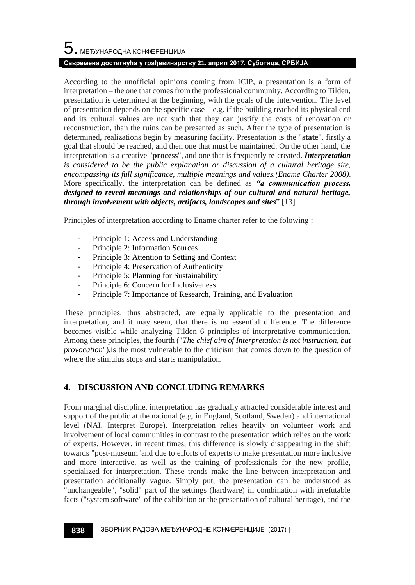#### **Савремена достигнућа у грађевинарству 21. април 2017. Суботица, СРБИЈА**

According to the unofficial opinions coming from ICIP, a presentation is a form of interpretation – the one that comes from the professional community. According to Tilden, presentation is determined at the beginning, with the goals of the intervention. The level of presentation depends on the specific case  $-$  e.g. if the building reached its physical end and its cultural values are not such that they can justify the costs of renovation or reconstruction, than the ruins can be presented as such. After the type of presentation is determined, realizations begin by measuring facility. Presentation is the "**state**", firstly a goal that should be reached, and then one that must be maintained. On the other hand, the interpretation is a creative "**process**", and one that is frequently re-created. *Interpretation is considered to be the public explanation or discussion of a cultural heritage site, encompassing its full significance, multiple meanings and values.(Ename Charter 2008)*. More specifically, the interpretation can be defined as *"a communication process, designed to reveal meanings and relationships of our cultural and natural heritage, through involvement with objects, artifacts, landscapes and sites*" [13].

Principles of interpretation according to Ename charter refer to the folowing :

- Principle 1: Access and Understanding
- Principle 2: Information Sources
- Principle 3: Attention to Setting and Context
- Principle 4: Preservation of Authenticity
- Principle 5: Planning for Sustainability
- Principle 6: Concern for Inclusiveness
- Principle 7: Importance of Research, Training, and Evaluation

These principles, thus abstracted, are equally applicable to the presentation and interpretation, and it may seem, that there is no essential difference. The difference becomes visible while analyzing Tilden 6 principles of interpretative communication. Among these principles, the fourth ("*The chief aim of Interpretation is not instruction, but provocation*").is the most vulnerable to the criticism that comes down to the question of where the stimulus stops and starts manipulation.

#### **4. DISCUSSION AND CONCLUDING REMARKS**

From marginal discipline, interpretation has gradually attracted considerable interest and support of the public at the national (e.g. in England, Scotland, Sweden) and international level (NAI, Interpret Europe). Interpretation relies heavily on volunteer work and involvement of local communities in contrast to the presentation which relies on the work of experts. However, in recent times, this difference is slowly disappearing in the shift towards "post-museum 'and due to efforts of experts to make presentation more inclusive and more interactive, as well as the training of professionals for the new profile, specialized for interpretation. These trends make the line between interpretation and presentation additionally vague. Simply put, the presentation can be understood as "unchangeable", "solid" part of the settings (hardware) in combination with irrefutable facts ("system software" of the exhibition or the presentation of cultural heritage), and the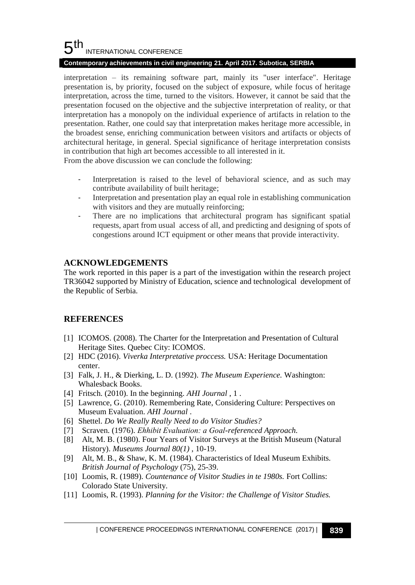#### 5 th INTERNATIONAL CONFERENCE

#### **Contemporary achievements in civil engineering 21. April 2017. Subotica, SERBIA**

interpretation – its remaining software part, mainly its "user interface". Heritage presentation is, by priority, focused on the subject of exposure, while focus of heritage interpretation, across the time, turned to the visitors. However, it cannot be said that the presentation focused on the objective and the subjective interpretation of reality, or that interpretation has a monopoly on the individual experience of artifacts in relation to the presentation. Rather, one could say that interpretation makes heritage more accessible, in the broadest sense, enriching communication between visitors and artifacts or objects of architectural heritage, in general. Special significance of heritage interpretation consists in contribution that high art becomes accessible to all interested in it.

From the above discussion we can conclude the following:

- Interpretation is raised to the level of behavioral science, and as such may contribute availability of built heritage;
- Interpretation and presentation play an equal role in establishing communication with visitors and they are mutually reinforcing;
- There are no implications that architectural program has significant spatial requests, apart from usual access of all, and predicting and designing of spots of congestions around ICT equipment or other means that provide interactivity.

### **ACKNOWLEDGEMENTS**

The work reported in this paper is a part of the investigation within the research project TR36042 supported by Ministry of Education, science and technological development of the Republic of Serbia.

### **REFERENCES**

- [1] ICOMOS. (2008). The Charter for the Interpretation and Presentation of Cultural Heritage Sites. Quebec City: ICOMOS.
- [2] HDC (2016). *Viverka Interpretative proccess.* USA: Heritage Documentation center.
- [3] Falk, J. H., & Dierking, L. D. (1992). *The Museum Experience.* Washington: Whalesback Books.
- [4] Fritsch. (2010). In the beginning. *AHI Journal* , 1 .
- [5] Lawrence, G. (2010). Remembering Rate, Considering Culture: Perspectives on Museum Evaluation. *AHI Journal* .
- [6] Shettel. *Do We Really Really Need to do Visitor Studies?*
- [7] Scraven. (1976). *Ehhibit Evaluation: а Goal-referenced Approach.*
- [8] Alt, M. B. (1980). Four Years of Visitor Surveys at the British Museum (Natural History). *Museums Journal 80(1)* , 10-19.
- [9] Alt, M. B., & Shaw, K. M. (1984). Characteristics of Ideal Museum Exhibits. *British Journal of Psychology* (75), 25-39.
- [10] Loomis, R. (1989). *Countenance of Visitor Studies in te 1980s.* Fort Collins: Colorado State University.
- [11] Loomis, R. (1993). *Planning for the Visitor: the Challenge of Visitor Studies.*